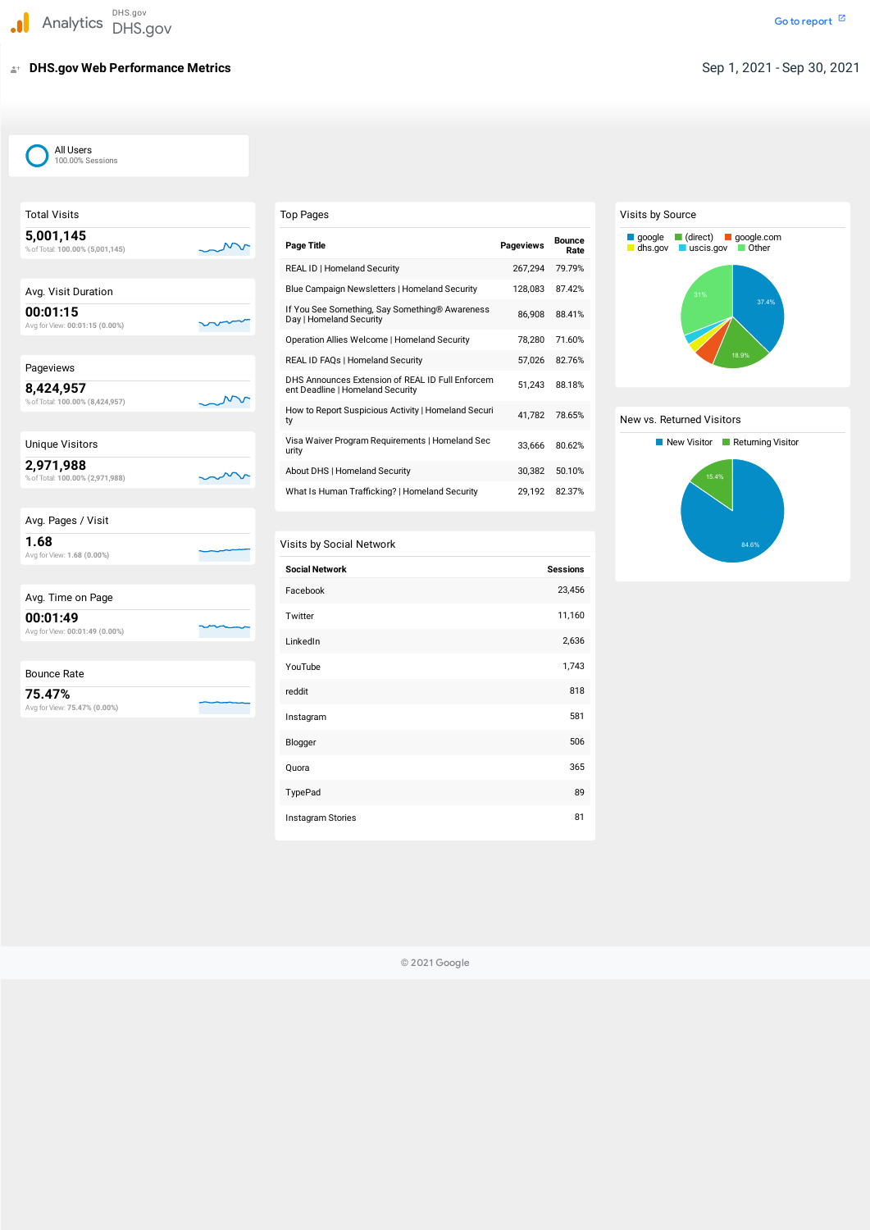# **DHS.gov Web Performance Metrics** Sep 1, 2021 - Sep 30, 2021

| <b>Total Visits</b>                          | Top           |
|----------------------------------------------|---------------|
| 5,001,145<br>% of Total: 100.00% (5,001,145) | Pag           |
|                                              | <b>REA</b>    |
| Avg. Visit Duration                          | <b>Blue</b>   |
| 00:01:15<br>Avg for View: 00:01:15 (0.00%)   | If Y<br>Day   |
|                                              | Ope           |
| Pageviews                                    | <b>REA</b>    |
| 8,424,957<br>% of Total: 100.00% (8,424,957) | DHS<br>ent    |
|                                              | Hov<br>ty     |
| <b>Unique Visitors</b>                       | Visa<br>urity |
| 2,971,988<br>% of Total: 100.00% (2,971,988) | Abo           |
|                                              | Wh            |
| Avg. Pages / Visit                           |               |
| 1.68<br>Avg for View: 1.68 (0.00%)           | Visit         |
|                                              | Soc           |
| Avg. Time on Page                            | Fac           |
| 00:01:49<br>Avg for View: 00:01:49 (0.00%)   | Twi           |
|                                              | Link          |
| <b>Bounce Rate</b>                           | You           |
| 75.47%<br>Avg for View: 75.47% (0.00%)       | redo          |

| Avg. Pages / Visit                         |  |
|--------------------------------------------|--|
| 1.68<br>Avg for View: 1.68 (0.00%)         |  |
|                                            |  |
| Avg. Time on Page                          |  |
| 00:01:49<br>Avg for View: 00:01:49 (0.00%) |  |
|                                            |  |
| <b>Bounce Rate</b>                         |  |

| Avg. Pages / Visit |  |
|--------------------|--|
|                    |  |

| Avg. Time on Page |  |
|-------------------|--|

## Visits by Social Network

| DHS.gov<br>DHS.gov         |                                                                                      |                  |                       |
|----------------------------|--------------------------------------------------------------------------------------|------------------|-----------------------|
| <b>Performance Metrics</b> |                                                                                      |                  |                       |
|                            |                                                                                      |                  |                       |
|                            |                                                                                      |                  |                       |
|                            |                                                                                      |                  |                       |
| ١S                         |                                                                                      |                  |                       |
|                            |                                                                                      |                  |                       |
|                            | <b>Top Pages</b>                                                                     |                  |                       |
| (45)                       | <b>Page Title</b>                                                                    | <b>Pageviews</b> | <b>Bounce</b><br>Rate |
|                            | REAL ID   Homeland Security                                                          | 267,294          | 79.79%                |
|                            | Blue Campaign Newsletters   Homeland Security                                        | 128,083          | 87.42%                |
| $0\%$                      | If You See Something, Say Something® Awareness<br>Day   Homeland Security            | 86,908           | 88.41%                |
|                            | <b>Operation Allies Welcome   Homeland Security</b>                                  | 78,280           | 71.60%                |
|                            | REAL ID FAQs   Homeland Security                                                     | 57,026           | 82.76%                |
| 957)                       | DHS Announces Extension of REAL ID Full Enforcem<br>ent Deadline   Homeland Security | 51,243           | 88.18%                |
|                            | How to Report Suspicious Activity   Homeland Securi<br>ty                            | 41,782           | 78.65%                |
|                            | Visa Waiver Program Requirements   Homeland Sec<br>urity                             | 33,666           | 80.62%                |
| (88)                       | About DHS   Homeland Security                                                        | 30,382           | 50.10%                |
|                            | What Is Human Trafficking?   Homeland Security                                       | 29,192           | 82.37%                |
|                            |                                                                                      |                  |                       |
|                            | Visits by Social Network                                                             |                  |                       |
|                            | <b>Social Network</b>                                                                |                  | <b>Sessions</b>       |
|                            | Facebook                                                                             |                  | 23,456                |
|                            | Twitter                                                                              |                  | 11,160                |
| $0\%$                      | LinkedIn                                                                             |                  | 2,636                 |
|                            | YouTube                                                                              |                  | 1,743                 |
|                            | reddit                                                                               |                  | 818                   |
| %)                         | Instagram                                                                            |                  | 581                   |
|                            | Blogger                                                                              |                  | 506                   |
|                            | Quora                                                                                |                  | 365                   |
|                            | TypePad                                                                              |                  | 89                    |
|                            | Instagram Stories                                                                    |                  | 81                    |
|                            |                                                                                      |                  |                       |
|                            | © 2021 Google                                                                        |                  |                       |

#### Visits by Source

#### New vs. Returned Visitors

| What Is Human Trafficking?   Homeland Security | 29,192 | 82.37%          |
|------------------------------------------------|--------|-----------------|
|                                                |        |                 |
| isits by Social Network                        |        |                 |
| <b>Social Network</b>                          |        | <b>Sessions</b> |
| Facebook                                       |        | 23,456          |
| Twitter                                        |        | 11,160          |
| LinkedIn                                       |        | 2,636           |
| YouTube                                        |        | 1,743           |
| reddit                                         |        | 818             |
| Instagram                                      |        | 581             |
| Blogger                                        |        | 506             |
| Quora                                          |        | 365             |
| TypePad                                        |        | 89              |
| Instagram Stories                              |        | 81              |

© 2021 Google



 All Users 100.00% Sessions

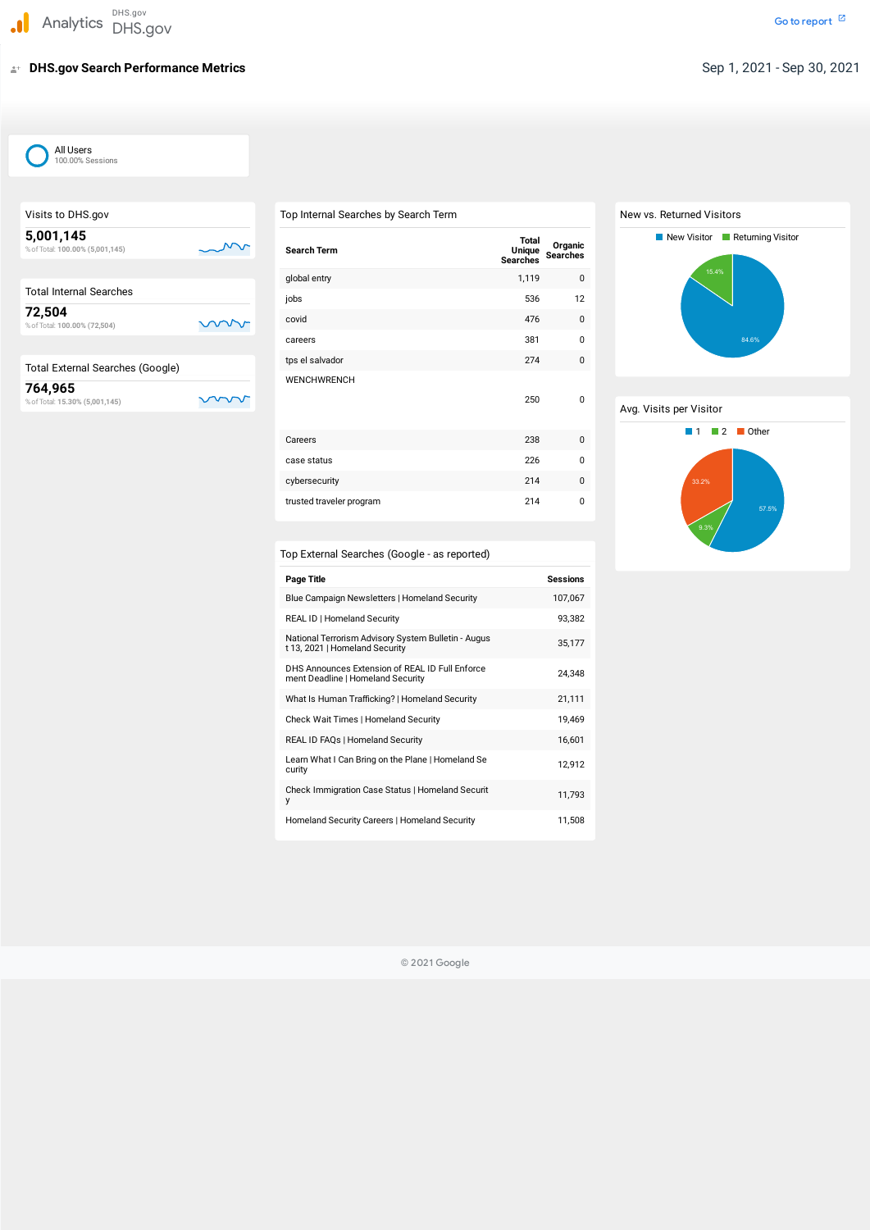# **DHS.gov Search Performance Metrics** Sep 1, 2021 - Sep 30, 2021

| DHS.gov<br>Analytics DHS.gov                 |                                                                   |
|----------------------------------------------|-------------------------------------------------------------------|
| <b>DHS.gov Search Performance Metrics</b>    |                                                                   |
|                                              |                                                                   |
| All Users<br>100.00% Sessions                |                                                                   |
|                                              |                                                                   |
| Visits to DHS.gov                            | Top Internal Searches by Se                                       |
| 5,001,145<br>% of Total: 100.00% (5,001,145) | <b>Search Term</b>                                                |
|                                              | global entry                                                      |
| <b>Total Internal Searches</b>               | jobs                                                              |
| 72,504<br>% of Total: 100.00% (72,504)       | covid                                                             |
|                                              | careers                                                           |
| <b>Total External Searches (Google)</b>      | tps el salvador                                                   |
| 764,965<br>% of Total: 15.30% (5,001,145)    | WENCHWRENCH                                                       |
|                                              |                                                                   |
|                                              | Careers                                                           |
|                                              | case status                                                       |
|                                              | cybersecurity                                                     |
|                                              | trusted traveler program                                          |
|                                              |                                                                   |
|                                              | <b>Top External Searches (Goo</b>                                 |
|                                              | <b>Page Title</b>                                                 |
|                                              | Blue Campaign Newsletters   Ho                                    |
|                                              | REAL ID   Homeland Security                                       |
|                                              | National Terrorism Advisory Sys<br>t 13, 2021   Homeland Security |
|                                              | DHS Announces Extension of RI<br>ment Deadline   Homeland Secu    |
|                                              | What Is Human Trafficking?   Ho                                   |
|                                              | Check Wait Times   Homeland S                                     |
|                                              | REAL ID FAQs   Homeland Secu                                      |
|                                              | Learn What I Can Bring on the P<br>curity                         |
|                                              | <b>Check Immigration Case Status</b><br>у                         |
|                                              | Homeland Security Careers   Ho                                    |
|                                              |                                                                   |
|                                              | $\copyright$                                                      |

| Top Internal Searches by Search Term                                                  |                                                  |                                   |  |
|---------------------------------------------------------------------------------------|--------------------------------------------------|-----------------------------------|--|
| <b>Search Term</b>                                                                    | <b>Total</b><br><b>Unique</b><br><b>Searches</b> | <b>Organic</b><br><b>Searches</b> |  |
| global entry                                                                          | 1,119                                            | $\pmb{0}$                         |  |
| jobs                                                                                  | 536                                              | 12                                |  |
| covid                                                                                 | 476                                              | 0                                 |  |
| careers                                                                               | 381                                              | 0                                 |  |
| tps el salvador                                                                       | 274                                              | 0                                 |  |
| <b>WENCHWRENCH</b>                                                                    | 250                                              | 0                                 |  |
| Careers                                                                               | 238                                              | 0                                 |  |
| case status                                                                           | 226                                              | 0                                 |  |
| cybersecurity                                                                         | 214                                              | 0                                 |  |
| trusted traveler program                                                              | 214                                              | 0                                 |  |
|                                                                                       |                                                  |                                   |  |
| Top External Searches (Google - as reported)                                          |                                                  |                                   |  |
| <b>Page Title</b>                                                                     |                                                  | <b>Sessions</b>                   |  |
| Blue Campaign Newsletters   Homeland Security                                         |                                                  | 107,067                           |  |
| REAL ID   Homeland Security                                                           |                                                  | 93,382                            |  |
| National Terrorism Advisory System Bulletin - Augus<br>t 13, 2021   Homeland Security |                                                  | 35,177                            |  |
| DHS Announces Extension of REAL ID Full Enforce<br>ment Deadline   Homeland Security  |                                                  | 24,348                            |  |
| What Is Human Trafficking?   Homeland Security                                        |                                                  | 21,111                            |  |
| Check Wait Times   Homeland Security                                                  |                                                  | 19,469                            |  |
| REAL ID FAQs   Homeland Security                                                      |                                                  | 16,601                            |  |
| Learn What I Can Bring on the Plane   Homeland Se<br>curity                           |                                                  | 12,912                            |  |
| Check Immigration Case Status   Homeland Securit<br>у                                 |                                                  | 11,793                            |  |
| Homeland Security Careers   Homeland Security                                         |                                                  | 11,508                            |  |

| Top Internal Searches by Search Term |
|--------------------------------------|
|--------------------------------------|



| <b>Page Title</b>                                                                     | <b>Sessions</b> |
|---------------------------------------------------------------------------------------|-----------------|
| Blue Campaign Newsletters   Homeland Security                                         | 107,067         |
| <b>REAL ID   Homeland Security</b>                                                    | 93,382          |
| National Terrorism Advisory System Bulletin - Augus<br>t 13, 2021   Homeland Security | 35,177          |
| DHS Announces Extension of REAL ID Full Enforce<br>ment Deadline   Homeland Security  | 24,348          |
| What Is Human Trafficking?   Homeland Security                                        | 21,111          |
| <b>Check Wait Times   Homeland Security</b>                                           | 19,469          |
| REAL ID FAQs   Homeland Security                                                      | 16,601          |
| Learn What I Can Bring on the Plane   Homeland Se<br>curity                           | 12,912          |
| Check Immigration Case Status   Homeland Securit<br>у                                 | 11,793          |
| Homeland Security Careers   Homeland Security                                         | 11,508          |



© 2021 Google



| All Users        |
|------------------|
| 100.00% Sessions |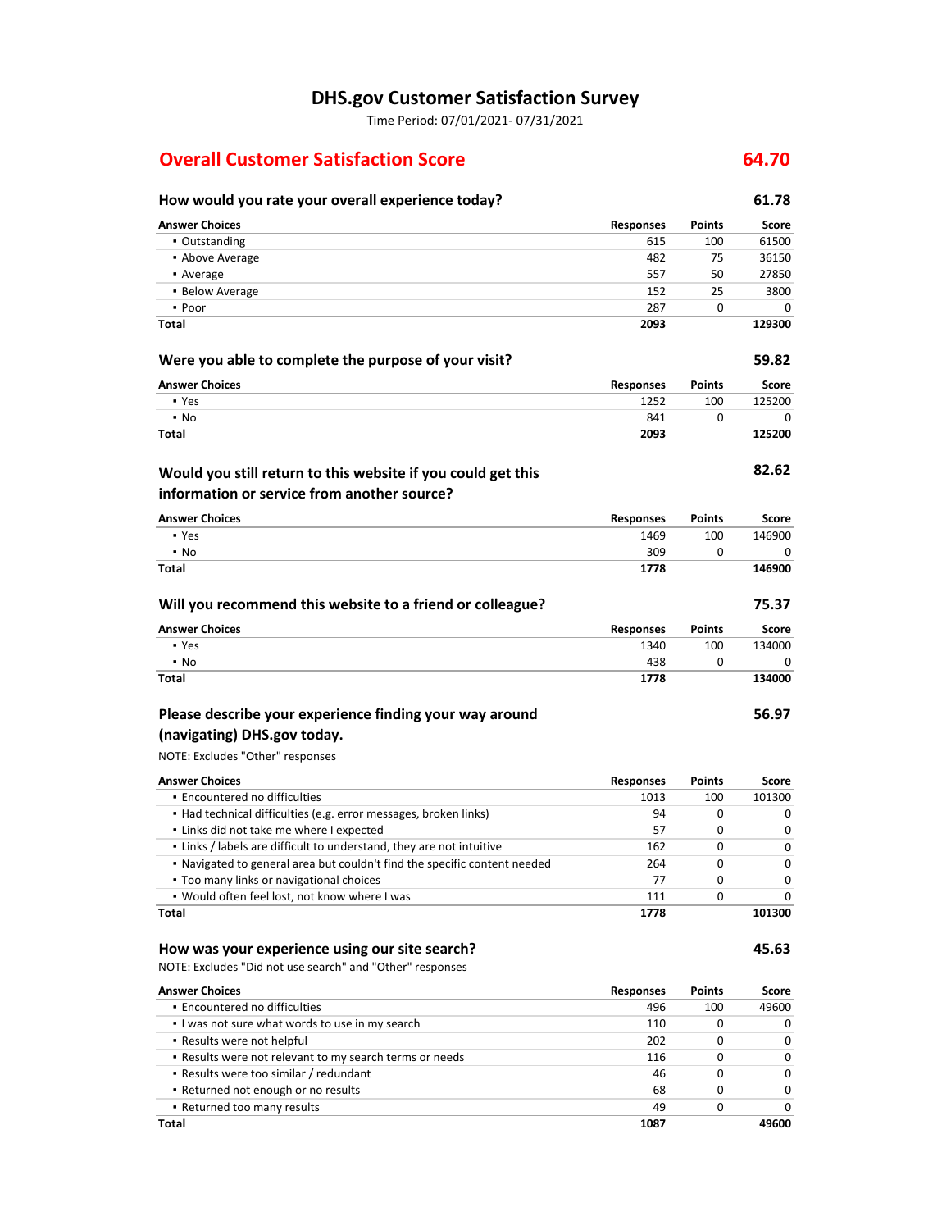#### **DHS.gov Customer Satisfaction Survey**

Time Period: 07/01/2021‐ 07/31/2021

### **Overall Customer Satisfaction Score 64.70**

# **How would you rate your overall experience today? 61.78**

| <b>Answer Choices</b>                                                                                                 | <b>Responses</b> | <b>Points</b> | Score  |
|-----------------------------------------------------------------------------------------------------------------------|------------------|---------------|--------|
| • Outstanding                                                                                                         | 615              | 100           | 61500  |
| • Above Average                                                                                                       | 482              | 75            | 36150  |
| • Average                                                                                                             | 557              | 50            | 27850  |
| • Below Average                                                                                                       | 152              | 25            | 3800   |
| • Poor                                                                                                                | 287              | 0             | 0      |
| <b>Total</b>                                                                                                          | 2093             |               | 129300 |
| Were you able to complete the purpose of your visit?                                                                  |                  |               | 59.82  |
| <b>Answer Choices</b>                                                                                                 | <b>Responses</b> | <b>Points</b> | Score  |
| • Yes                                                                                                                 | 1252             | 100           | 125200 |
| $\cdot$ No                                                                                                            | 841              | 0             | 0      |
| <b>Total</b>                                                                                                          | 2093             |               | 125200 |
| Would you still return to this website if you could get this                                                          |                  |               | 82.62  |
| information or service from another source?                                                                           |                  |               |        |
| <b>Answer Choices</b>                                                                                                 | <b>Responses</b> | <b>Points</b> | Score  |
| • Yes                                                                                                                 | 1469             | 100           | 146900 |
| $\cdot$ No                                                                                                            | 309              | 0             | 0      |
| <b>Total</b>                                                                                                          | 1778             |               | 146900 |
| Will you recommend this website to a friend or colleague?                                                             |                  |               | 75.37  |
| <b>Answer Choices</b>                                                                                                 | <b>Responses</b> | <b>Points</b> | Score  |
| • Yes                                                                                                                 | 1340             | 100           | 134000 |
| $\cdot$ No                                                                                                            | 438              | 0             | 0      |
| <b>Total</b>                                                                                                          | 1778             |               | 134000 |
| Please describe your experience finding your way around                                                               |                  |               | 56.97  |
| (navigating) DHS.gov today.                                                                                           |                  |               |        |
|                                                                                                                       |                  |               |        |
| NOTE: Excludes "Other" responses                                                                                      |                  |               |        |
| <b>Answer Choices</b>                                                                                                 | <b>Responses</b> | Points        | Score  |
| · Encountered no difficulties                                                                                         | 1013             | 100           | 101300 |
| • Had technical difficulties (e.g. error messages, broken links)                                                      | 94               | 0             | 0      |
| . Links did not take me where I expected                                                                              | 57               | 0             | 0      |
| . Links / labels are difficult to understand, they are not intuitive                                                  | 162              | 0             | 0      |
|                                                                                                                       | 264              | 0             | 0      |
| . Navigated to general area but couldn't find the specific content needed<br>. Too many links or navigational choices | 77               | 0             | 0      |
| . Would often feel lost, not know where I was                                                                         | 111              | 0             | 0      |
| Total                                                                                                                 | 1778             |               | 101300 |

NOTE: Excludes "Did not use search" and "Other" responses

| <b>Answer Choices</b>                                   | <b>Responses</b> | <b>Points</b> | Score        |
|---------------------------------------------------------|------------------|---------------|--------------|
| • Encountered no difficulties                           | 496              | 100           | 49600        |
| I was not sure what words to use in my search           | 110              | 0             | 0            |
| • Results were not helpful                              | 202              | 0             | 0            |
| . Results were not relevant to my search terms or needs | 116              | 0             | 0            |
| • Results were too similar / redundant                  | 46               | 0             | <sup>0</sup> |
| • Returned not enough or no results                     | 68               | 0             | <sup>0</sup> |
| • Returned too many results                             | 49               | 0             | <sup>0</sup> |
| Total                                                   | 1087             |               | 49600        |